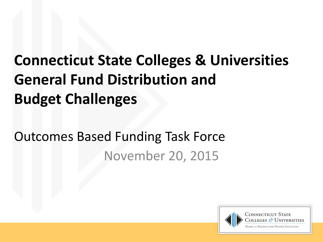# **Connecticut State Colleges & Universities General Fund Distribution and Budget Challenges**

## Outcomes Based Funding Task Force November 20, 2015

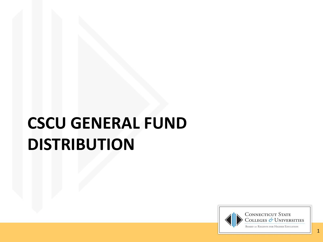# **CSCU GENERAL FUND DISTRIBUTION**

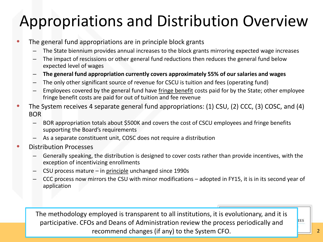## Appropriations and Distribution Overview

- The general fund appropriations are in principle block grants
	- The State biennium provides annual increases to the block grants mirroring expected wage increases
	- The impact of rescissions or other general fund reductions then reduces the general fund below expected level of wages
	- **The general fund appropriation currently covers approximately 55% of our salaries and wages**
	- The only other significant source of revenue for CSCU is tuition and fees (operating fund)
	- Employees covered by the general fund have fringe benefit costs paid for by the State; other employee fringe benefit costs are paid for out of tuition and fee revenue
- The System receives 4 separate general fund appropriations: (1) CSU, (2) CCC, (3) COSC, and (4) BOR
	- BOR appropriation totals about \$500K and covers the cost of CSCU employees and fringe benefits supporting the Board's requirements
	- As a separate constituent unit, COSC does not require a distribution
- Distribution Processes
	- Generally speaking, the distribution is designed to cover costs rather than provide incentives, with the exception of incentivizing enrollments
	- CSU process mature in principle unchanged since 1990s
	- CCC process now mirrors the CSU with minor modifications adopted in FY15, it is in its second year of application

The methodology employed is transparent to all institutions, it is evolutionary, and it is participative. CFOs and Deans of Administration review the process periodically and recommend changes (if any) to the System CFO.

**IES**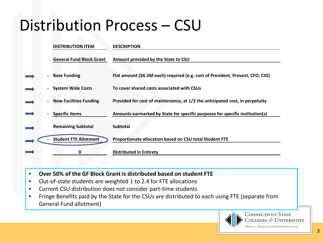## Distribution Process – CSU

|  | <b>DISTRIBUTION ITEM</b>        | <b>DESCRIPTION</b>                                                             |
|--|---------------------------------|--------------------------------------------------------------------------------|
|  | <b>General Fund Block Grant</b> | Amount provided by the State to CSU                                            |
|  | <b>Base Funding</b>             | Flat amount (\$6.5M each) required (e.g. cost of President, Provost, CFO, CIO) |
|  | <b>System Wide Costs</b>        | To cover shared costs associated with CSUs                                     |
|  | <b>New Facilities Funding</b>   | Provided for cost of maintenance, at 1/2 the anticipated cost, in perpetuity   |
|  | <b>Specific Items</b>           | Amounts earmarked by State for specific purposes for specific institution(s)   |
|  | <b>Remaining Subtotal</b>       | <b>Subtotal</b>                                                                |
|  | <b>Student FTE Allotment</b>    | Proportionate allocation based on CSU total Student FTE                        |
|  | 0                               | <b>Distributed in Entirety</b>                                                 |

- **Over 50% of the GF Block Grant is distributed based on student FTE**
- Out-of-state students are weighted 1 to 2.4 for FTE allocations
- Current CSU distribution does not consider part-time students
- Fringe Benefits paid by the State for the CSUs are distributed to each using FTE (separate from General Fund allotment)



**CONNECTICUT STATE** COLLEGES & UNIVERSITIES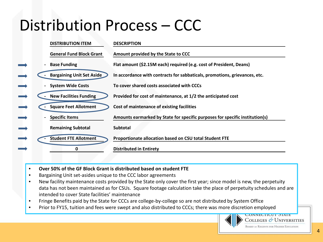## Distribution Process – CCC



- **Over 50% of the GF Block Grant is distributed based on student FTE**
- Bargaining Unit set-asides unique to the CCC labor agreements
- New facility maintenance costs provided by the State only cover the first year; since model is new, the perpetuity data has not been maintained as for CSUs. Square footage calculation take the place of perpetuity schedules and are intended to cover State facilities' maintenance
- Fringe Benefits paid by the State for CCCs are college-by-college so are not distributed by System Office
- Prior to FY15, tuition and fees were swept and also distributed to CCCs; there was more discretion employed



COLLEGES  $\mathscr{O}$  Universities

**CONNECTICUT OTALE**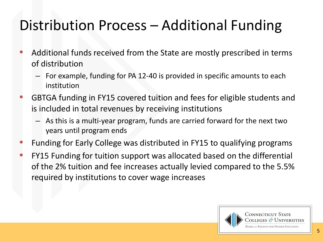### Distribution Process – Additional Funding

- Additional funds received from the State are mostly prescribed in terms of distribution
	- For example, funding for PA 12-40 is provided in specific amounts to each institution
- GBTGA funding in FY15 covered tuition and fees for eligible students and is included in total revenues by receiving institutions
	- As this is a multi-year program, funds are carried forward for the next two years until program ends
- Funding for Early College was distributed in FY15 to qualifying programs
- FY15 Funding for tuition support was allocated based on the differential of the 2% tuition and fee increases actually levied compared to the 5.5% required by institutions to cover wage increases

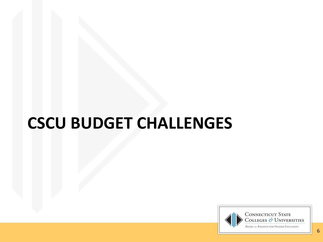# **CSCU BUDGET CHALLENGES**

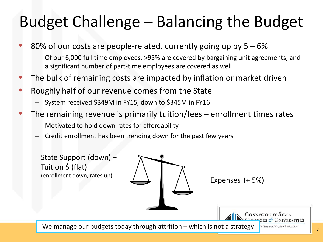## Budget Challenge – Balancing the Budget

- 80% of our costs are people-related, currently going up by  $5 6\%$ 
	- Of our 6,000 full time employees, >95% are covered by bargaining unit agreements, and a significant number of part-time employees are covered as well
- The bulk of remaining costs are impacted by inflation or market driven
- Roughly half of our revenue comes from the State
	- System received \$349M in FY15, down to \$345M in FY16
- The remaining revenue is primarily tuition/fees enrollment times rates
	- Motivated to hold down rates for affordability
	- Credit enrollment has been trending down for the past few years

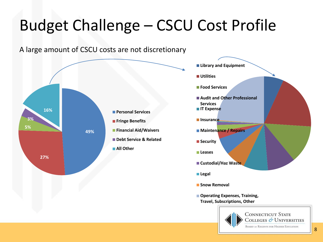# Budget Challenge – CSCU Cost Profile







**Operating Expenses, Training, Travel, Subscriptions, Other**



**CONNECTICUT STATE** COLLEGES & UNIVERSITIES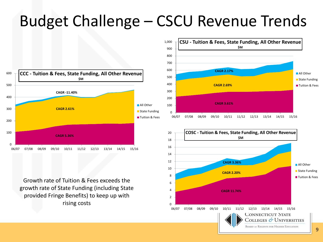## Budget Challenge – CSCU Revenue Trends

 $\Omega$ 2



Growth rate of Tuition & Fees exceeds the growth rate of State Funding (including State provided Fringe Benefits) to keep up with rising costs



06/07 07/08 08/09 09/10 10/11 11/12 12/13 13/14 14/15 15/16

**BOARD OF REGENTS FOR HIGHER EDUCATION** 

COLLEGES & UNIVERSITIES

**CONNECTICUT STATE**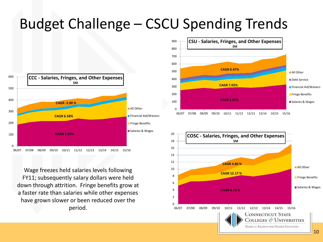#### Budget Challenge – CSCU Spending Trends



Wage freezes held salaries levels following FY11; subsequently salary dollars were held down through attrition. Fringe benefits grow at a faster rate than salaries while other expenses have grown slower or been reduced over the period.



06/07 07/08 08/09 09/10 10/11 11/12 12/13 13/14 14/15 15/16

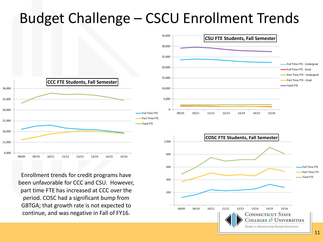### Budget Challenge – CSCU Enrollment Trends



Enrollment trends for credit programs have been unfavorable for CCC and CSU. However, part time FTE has increased at CCC over the period. COSC had a significant bump from GBTGA; that growth rate is not expected to continue, and was negative in Fall of FY16.